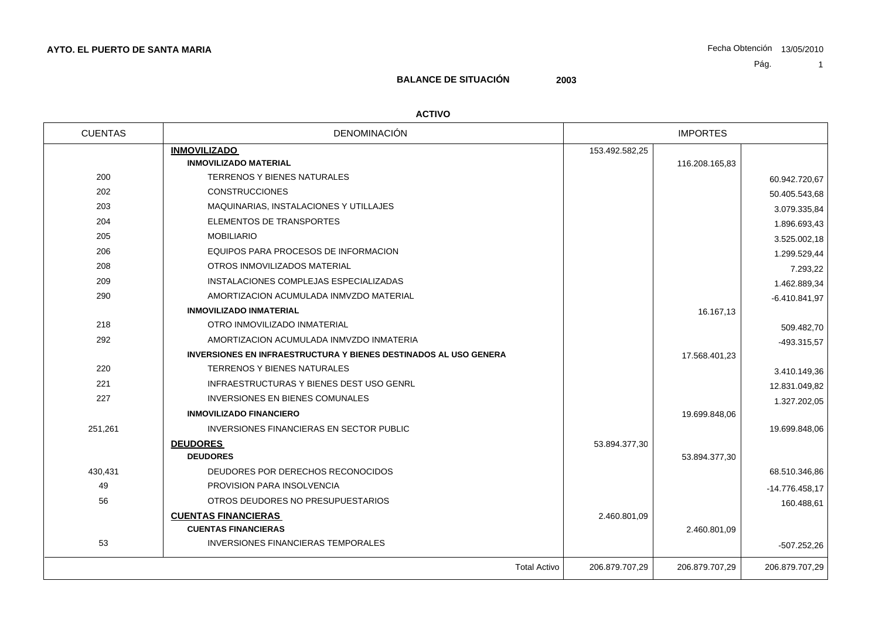# **BALANCE DE SITUACIÓN 2003**

#### **ACTIVO**

| DENOMINACIÓN<br><b>CUENTAS</b>                                          |                | <b>IMPORTES</b> |                 |
|-------------------------------------------------------------------------|----------------|-----------------|-----------------|
| <b>INMOVILIZADO</b>                                                     | 153.492.582,25 |                 |                 |
| <b>INMOVILIZADO MATERIAL</b>                                            |                | 116.208.165,83  |                 |
| 200<br><b>TERRENOS Y BIENES NATURALES</b>                               |                |                 | 60.942.720,67   |
| 202<br><b>CONSTRUCCIONES</b>                                            |                |                 | 50.405.543,68   |
| 203<br>MAQUINARIAS, INSTALACIONES Y UTILLAJES                           |                |                 | 3.079.335,84    |
| 204<br>ELEMENTOS DE TRANSPORTES                                         |                |                 | 1.896.693,43    |
| 205<br><b>MOBILIARIO</b>                                                |                |                 | 3.525.002,18    |
| 206<br>EQUIPOS PARA PROCESOS DE INFORMACION                             |                |                 | 1.299.529,44    |
| 208<br>OTROS INMOVILIZADOS MATERIAL                                     |                |                 | 7.293,22        |
| 209<br>INSTALACIONES COMPLEJAS ESPECIALIZADAS                           |                |                 | 1.462.889,34    |
| 290<br>AMORTIZACION ACUMULADA INMVZDO MATERIAL                          |                |                 | $-6.410.841,97$ |
| <b>INMOVILIZADO INMATERIAL</b>                                          |                | 16.167,13       |                 |
| 218<br>OTRO INMOVILIZADO INMATERIAL                                     |                |                 | 509.482,70      |
| 292<br>AMORTIZACION ACUMULADA INMVZDO INMATERIA                         |                |                 | -493.315,57     |
| <b>INVERSIONES EN INFRAESTRUCTURA Y BIENES DESTINADOS AL USO GENERA</b> |                | 17.568.401,23   |                 |
| 220<br>TERRENOS Y BIENES NATURALES                                      |                |                 | 3.410.149.36    |
| 221<br>INFRAESTRUCTURAS Y BIENES DEST USO GENRL                         |                |                 | 12.831.049,82   |
| 227<br>INVERSIONES EN BIENES COMUNALES                                  |                |                 | 1.327.202,05    |
| <b>INMOVILIZADO FINANCIERO</b>                                          |                | 19.699.848,06   |                 |
| 251,261<br>INVERSIONES FINANCIERAS EN SECTOR PUBLIC                     |                |                 | 19.699.848,06   |
| <b>DEUDORES</b>                                                         | 53.894.377,30  |                 |                 |
| <b>DEUDORES</b>                                                         |                | 53.894.377,30   |                 |
| 430,431<br>DEUDORES POR DERECHOS RECONOCIDOS                            |                |                 | 68.510.346,86   |
| 49<br>PROVISION PARA INSOLVENCIA                                        |                |                 | -14.776.458,17  |
| 56<br>OTROS DEUDORES NO PRESUPUESTARIOS                                 |                |                 | 160.488,61      |
| <b>CUENTAS FINANCIERAS</b>                                              | 2.460.801,09   |                 |                 |
| <b>CUENTAS FINANCIERAS</b>                                              |                | 2.460.801,09    |                 |
| 53<br><b>INVERSIONES FINANCIERAS TEMPORALES</b>                         |                |                 | $-507.252,26$   |
|                                                                         |                |                 |                 |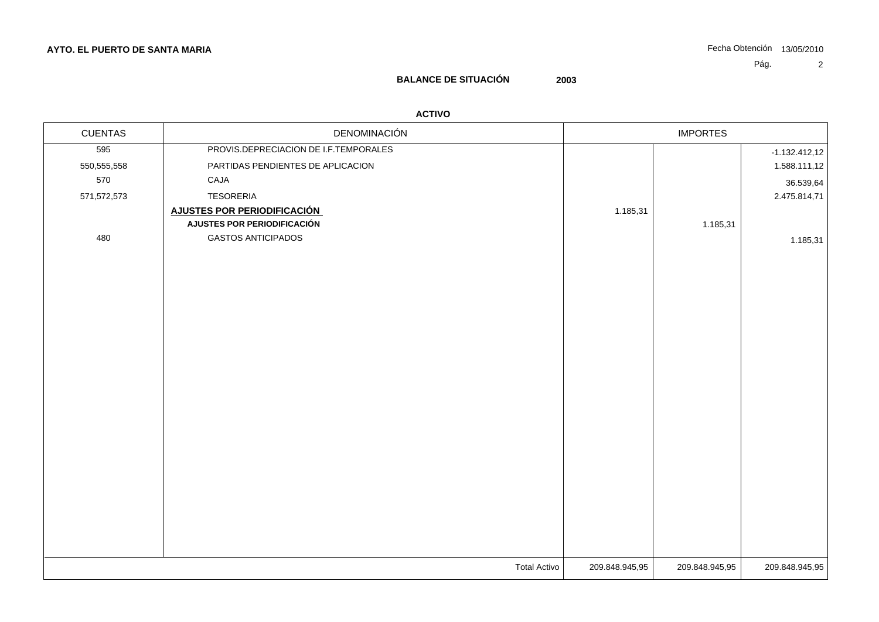# **BALANCE DE SITUACIÓN 2003**

### **ACTIVO**

| <b>CUENTAS</b> | DENOMINACIÓN                          | <b>IMPORTES</b> |          |                 |
|----------------|---------------------------------------|-----------------|----------|-----------------|
| 595            | PROVIS.DEPRECIACION DE I.F.TEMPORALES |                 |          | $-1.132.412,12$ |
| 550,555,558    | PARTIDAS PENDIENTES DE APLICACION     |                 |          | 1.588.111,12    |
| 570            | CAJA                                  |                 |          | 36.539,64       |
| 571,572,573    | <b>TESORERIA</b>                      |                 |          | 2.475.814,71    |
|                | <b>AJUSTES POR PERIODIFICACIÓN</b>    | 1.185,31        |          |                 |
|                | AJUSTES POR PERIODIFICACIÓN           |                 | 1.185,31 |                 |
| 480            | <b>GASTOS ANTICIPADOS</b>             |                 |          | 1.185,31        |
|                |                                       |                 |          |                 |
|                |                                       |                 |          |                 |
|                |                                       |                 |          |                 |
|                |                                       |                 |          |                 |
|                |                                       |                 |          |                 |
|                |                                       |                 |          |                 |
|                |                                       |                 |          |                 |
|                |                                       |                 |          |                 |
|                |                                       |                 |          |                 |
|                |                                       |                 |          |                 |
|                |                                       |                 |          |                 |
|                |                                       |                 |          |                 |
|                |                                       |                 |          |                 |
|                |                                       |                 |          |                 |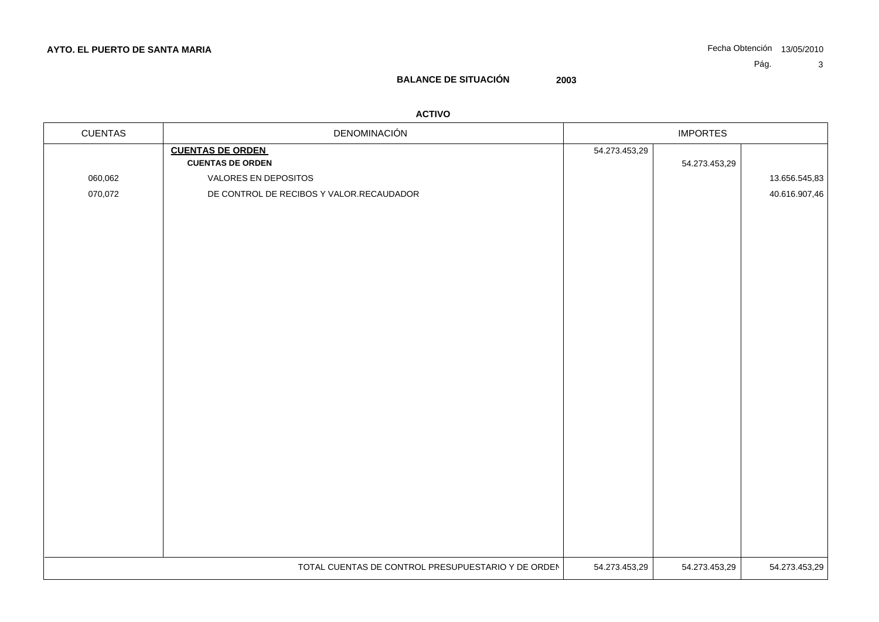## **BALANCE DE SITUACIÓN 2003**

### **ACTIVO**

| <b>CUENTAS</b> | DENOMINACIÓN                                       | <b>IMPORTES</b> |               |               |
|----------------|----------------------------------------------------|-----------------|---------------|---------------|
|                | <b>CUENTAS DE ORDEN</b><br><b>CUENTAS DE ORDEN</b> | 54.273.453,29   | 54.273.453,29 |               |
| 060,062        | VALORES EN DEPOSITOS                               |                 |               | 13.656.545,83 |
| 070,072        | DE CONTROL DE RECIBOS Y VALOR.RECAUDADOR           |                 |               | 40.616.907,46 |
|                |                                                    |                 |               |               |
|                |                                                    |                 |               |               |
|                |                                                    |                 |               |               |
|                |                                                    |                 |               |               |
|                |                                                    |                 |               |               |
|                |                                                    |                 |               |               |
|                |                                                    |                 |               |               |
|                |                                                    |                 |               |               |
|                |                                                    |                 |               |               |
|                |                                                    |                 |               |               |
|                |                                                    |                 |               |               |
|                |                                                    |                 |               |               |
|                |                                                    |                 |               |               |
|                |                                                    |                 |               |               |
|                |                                                    |                 |               |               |
|                |                                                    |                 |               |               |
|                |                                                    |                 |               |               |
|                |                                                    |                 |               |               |
|                |                                                    |                 |               |               |
|                |                                                    |                 |               |               |
|                |                                                    |                 |               |               |
|                | TOTAL CUENTAS DE CONTROL PRESUPUESTARIO Y DE ORDEN | 54.273.453,29   | 54.273.453,29 | 54.273.453,29 |
|                |                                                    |                 |               |               |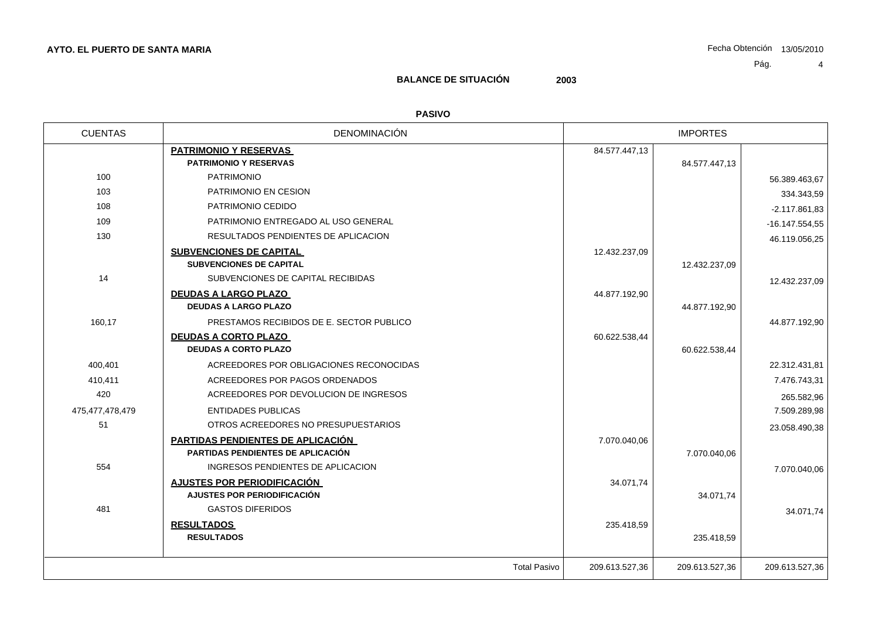## **BALANCE DE SITUACIÓN 2003**

### **PASIVO**

| <b>CUENTAS</b>  | <b>DENOMINACIÓN</b>                      | <b>IMPORTES</b> |                |                  |
|-----------------|------------------------------------------|-----------------|----------------|------------------|
|                 | <b>PATRIMONIO Y RESERVAS</b>             | 84.577.447,13   |                |                  |
|                 | <b>PATRIMONIO Y RESERVAS</b>             |                 | 84.577.447,13  |                  |
| 100             | <b>PATRIMONIO</b>                        |                 |                | 56.389.463,67    |
| 103             | PATRIMONIO EN CESION                     |                 |                | 334.343,59       |
| 108             | PATRIMONIO CEDIDO                        |                 |                | $-2.117.861.83$  |
| 109             | PATRIMONIO ENTREGADO AL USO GENERAL      |                 |                | $-16.147.554.55$ |
| 130             | RESULTADOS PENDIENTES DE APLICACION      |                 |                | 46.119.056,25    |
|                 | <b>SUBVENCIONES DE CAPITAL</b>           | 12.432.237,09   |                |                  |
|                 | <b>SUBVENCIONES DE CAPITAL</b>           |                 | 12.432.237,09  |                  |
| 14              | SUBVENCIONES DE CAPITAL RECIBIDAS        |                 |                | 12.432.237,09    |
|                 | <b>DEUDAS A LARGO PLAZO</b>              | 44.877.192,90   |                |                  |
|                 | <b>DEUDAS A LARGO PLAZO</b>              |                 | 44.877.192,90  |                  |
| 160,17          | PRESTAMOS RECIBIDOS DE E. SECTOR PUBLICO |                 |                | 44.877.192,90    |
|                 | <b>DEUDAS A CORTO PLAZO</b>              | 60.622.538,44   |                |                  |
|                 | <b>DEUDAS A CORTO PLAZO</b>              |                 | 60.622.538,44  |                  |
| 400,401         | ACREEDORES POR OBLIGACIONES RECONOCIDAS  |                 |                | 22.312.431,81    |
| 410,411         | ACREEDORES POR PAGOS ORDENADOS           |                 |                | 7.476.743.31     |
| 420             | ACREEDORES POR DEVOLUCION DE INGRESOS    |                 |                | 265.582,96       |
| 475,477,478,479 | <b>ENTIDADES PUBLICAS</b>                |                 |                | 7.509.289,98     |
| 51              | OTROS ACREEDORES NO PRESUPUESTARIOS      |                 |                | 23.058.490,38    |
|                 | PARTIDAS PENDIENTES DE APLICACIÓN        | 7.070.040,06    |                |                  |
|                 | <b>PARTIDAS PENDIENTES DE APLICACIÓN</b> |                 | 7.070.040,06   |                  |
| 554             | INGRESOS PENDIENTES DE APLICACION        |                 |                | 7.070.040.06     |
|                 | AJUSTES POR PERIODIFICACIÓN              | 34.071,74       |                |                  |
|                 | AJUSTES POR PERIODIFICACIÓN              |                 | 34.071,74      |                  |
| 481             | <b>GASTOS DIFERIDOS</b>                  |                 |                | 34.071,74        |
|                 | <b>RESULTADOS</b>                        | 235.418,59      |                |                  |
|                 | <b>RESULTADOS</b>                        |                 | 235.418,59     |                  |
|                 | <b>Total Pasivo</b>                      | 209.613.527,36  | 209.613.527,36 | 209.613.527,36   |
|                 |                                          |                 |                |                  |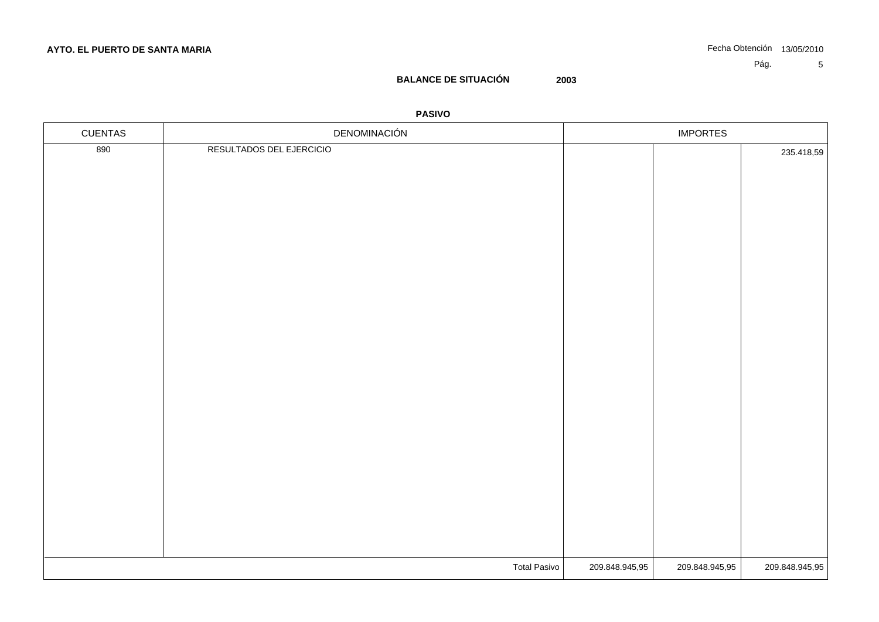## **BALANCE DE SITUACIÓN 2003**

### **PASIVO**

| <b>CUENTAS</b> | DENOMINACIÓN             | <b>IMPORTES</b> |                |                |
|----------------|--------------------------|-----------------|----------------|----------------|
| 890            | RESULTADOS DEL EJERCICIO |                 |                | 235.418,59     |
|                |                          |                 |                |                |
|                |                          |                 |                |                |
|                |                          |                 |                |                |
|                |                          |                 |                |                |
|                |                          |                 |                |                |
|                |                          |                 |                |                |
|                |                          |                 |                |                |
|                |                          |                 |                |                |
|                |                          |                 |                |                |
|                |                          |                 |                |                |
|                |                          |                 |                |                |
|                |                          |                 |                |                |
|                |                          |                 |                |                |
|                |                          |                 |                |                |
|                |                          |                 |                |                |
|                |                          |                 |                |                |
|                |                          |                 |                |                |
|                |                          |                 |                |                |
|                |                          |                 |                |                |
|                |                          |                 |                |                |
|                |                          |                 |                |                |
|                |                          |                 |                |                |
|                |                          |                 |                |                |
|                | Total Pasivo             | 209.848.945,95  | 209.848.945,95 | 209.848.945,95 |
|                |                          |                 |                |                |